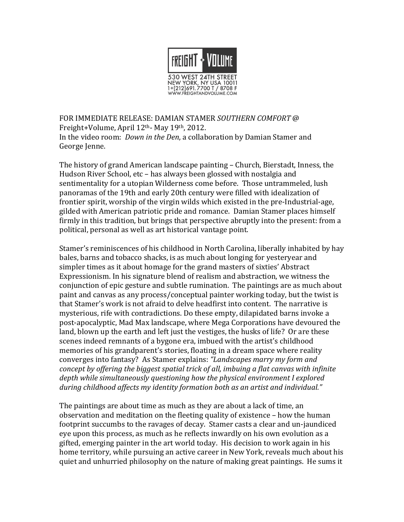

FOR IMMEDIATE RELEASE: DAMIAN STAMER SOUTHERN COMFORT @ Freight+Volume, April 12<sup>th</sup>- May 19<sup>th</sup>, 2012. In the video room: *Down in the Den*, a collaboration by Damian Stamer and George Jenne.

The history of grand American landscape painting – Church, Bierstadt, Inness, the Hudson River School, etc - has always been glossed with nostalgia and sentimentality for a utopian Wilderness come before. Those untrammeled, lush panoramas of the 19th and early 20th century were filled with idealization of frontier spirit, worship of the virgin wilds which existed in the pre-Industrial-age, gilded with American patriotic pride and romance. Damian Stamer places himself firmly in this tradition, but brings that perspective abruptly into the present: from a political, personal as well as art historical vantage point.

Stamer's reminiscences of his childhood in North Carolina, liberally inhabited by hay bales, barns and tobacco shacks, is as much about longing for yesteryear and simpler times as it about homage for the grand masters of sixties' Abstract Expressionism. In his signature blend of realism and abstraction, we witness the conjunction of epic gesture and subtle rumination. The paintings are as much about paint and canvas as any process/conceptual painter working today, but the twist is that Stamer's work is not afraid to delve headfirst into content. The narrative is mysterious, rife with contradictions. Do these empty, dilapidated barns invoke a post-apocalyptic, Mad Max landscape, where Mega Corporations have devoured the land, blown up the earth and left just the vestiges, the husks of life? Or are these scenes indeed remnants of a bygone era, imbued with the artist's childhood memories of his grandparent's stories, floating in a dream space where reality converges into fantasy? As Stamer explains: "Landscapes marry my form and concept by offering the biggest spatial trick of all, imbuing a flat canvas with infinite depth while simultaneously questioning how the physical environment I explored during childhood affects my identity formation both as an artist and individual."

The paintings are about time as much as they are about a lack of time, an observation and meditation on the fleeting quality of existence – how the human footprint succumbs to the ravages of decay. Stamer casts a clear and un-jaundiced eye upon this process, as much as he reflects inwardly on his own evolution as a gifted, emerging painter in the art world today. His decision to work again in his home territory, while pursuing an active career in New York, reveals much about his quiet and unhurried philosophy on the nature of making great paintings. He sums it